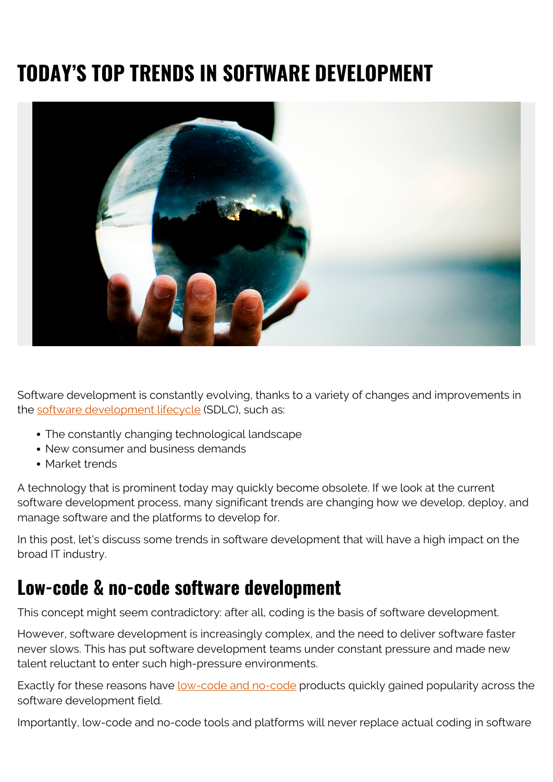# **TODAY'S TOP TRENDS IN SOFTWARE DEVELOPMENT**



Software development is constantly evolving, thanks to a variety of changes and improvements in the [software development lifecycle](https://blogs.bmc.com/blogs/sdlc-software-development-lifecycle/) (SDLC), such as:

- The constantly changing technological landscape
- New consumer and business demands
- Market trends

A technology that is prominent today may quickly become obsolete. If we look at the current software development process, many significant trends are changing how we develop, deploy, and manage software and the platforms to develop for.

In this post, let's discuss some trends in software development that will have a high impact on the broad IT industry.

# **Low-code & no-code software development**

This concept might seem contradictory: after all, coding is the basis of software development.

However, software development is increasingly complex, and the need to deliver software faster never slows. This has put software development teams under constant pressure and made new talent reluctant to enter such high-pressure environments.

Exactly for these reasons have [low-code and no-code](https://blogs.bmc.com/blogs/low-code-vs-no-code/) products quickly gained popularity across the software development field.

Importantly, low-code and no-code tools and platforms will never replace actual coding in software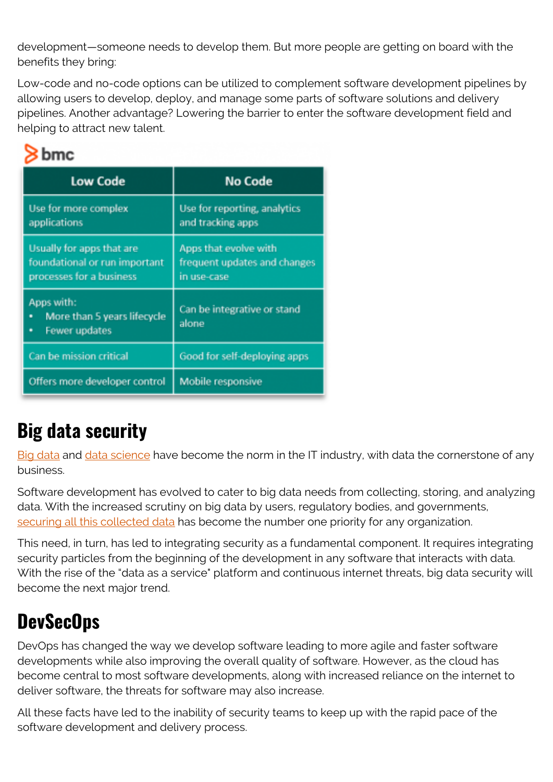development—someone needs to develop them. But more people are getting on board with the benefits they bring:

Low-code and no-code options can be utilized to complement software development pipelines by allowing users to develop, deploy, and manage some parts of software solutions and delivery pipelines. Another advantage? Lowering the barrier to enter the software development field and helping to attract new talent.

### bmc

| <b>Low Code</b>                                                                        | No Code                                                              |
|----------------------------------------------------------------------------------------|----------------------------------------------------------------------|
| Use for more complex<br>applications                                                   | Use for reporting, analytics<br>and tracking apps                    |
| Usually for apps that are<br>foundational or run important<br>processes for a business | Apps that evolve with<br>frequent updates and changes<br>in use-case |
| Apps with:<br>More than 5 years lifecycle<br>a,<br><b>Fewer updates</b><br>iÜ.         | Can be integrative or stand<br>alone                                 |
| Can be mission critical                                                                | Good for self-deploying apps                                         |
| Offers more developer control                                                          | Mobile responsive                                                    |

# **Big data security**

[Big data](https://blogs.bmc.com/blogs/big-data/) and [data science](https://blogs.bmc.com/blogs/big-data-vs-analytics/) have become the norm in the IT industry, with data the cornerstone of any business.

Software development has evolved to cater to big data needs from collecting, storing, and analyzing data. With the increased scrutiny on big data by users, regulatory bodies, and governments, [securing all this collected data](https://blogs.bmc.com/blogs/big-data-security-issues-enterprise/) has become the number one priority for any organization.

This need, in turn, has led to integrating security as a fundamental component. It requires integrating security particles from the beginning of the development in any software that interacts with data. With the rise of the "data as a service" platform and continuous internet threats, big data security will become the next major trend.

# **DevSecOps**

DevOps has changed the way we develop software leading to more agile and faster software developments while also improving the overall quality of software. However, as the cloud has become central to most software developments, along with increased reliance on the internet to deliver software, the threats for software may also increase.

All these facts have led to the inability of security teams to keep up with the rapid pace of the software development and delivery process.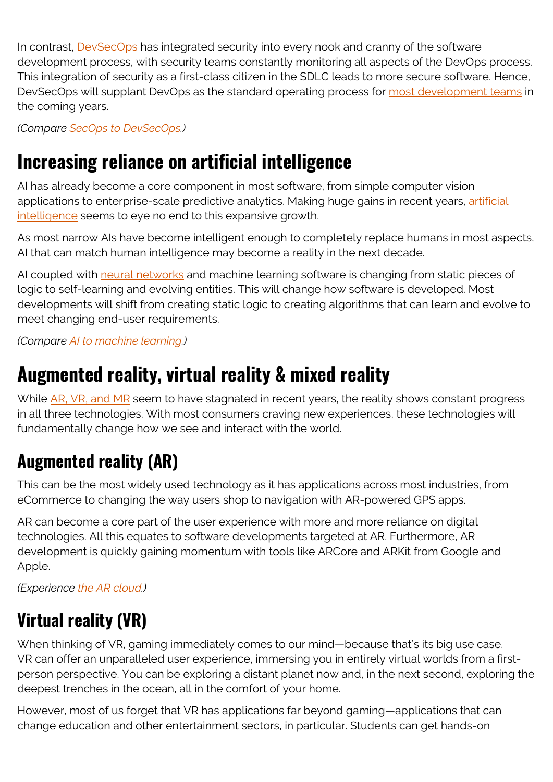In contrast, [DevSecOps](https://blogs.bmc.com/blogs/devops-devsecops/) has integrated security into every nook and cranny of the software development process, with security teams constantly monitoring all aspects of the DevOps process. This integration of security as a first-class citizen in the SDLC leads to more secure software. Hence, DevSecOps will supplant DevOps as the standard operating process for [most development teams](https://blogs.bmc.com/blogs/it-teams/) in the coming years.

*(Compare [SecOps to DevSecOps.](https://blogs.bmc.com/blogs/secops-vs-devsecops/))*

### **Increasing reliance on artificial intelligence**

AI has already become a core component in most software, from simple computer vision applications to enterprise-scale predictive analytics. Making huge gains in recent years, [artificial](https://blogs.bmc.com/blogs/artificial-intelligence-types/) [intelligence](https://blogs.bmc.com/blogs/artificial-intelligence-types/) seems to eye no end to this expansive growth.

As most narrow AIs have become intelligent enough to completely replace humans in most aspects, AI that can match human intelligence may become a reality in the next decade.

AI coupled with [neural networks](https://blogs.bmc.com/blogs/neural-network-introduction/) and machine learning software is changing from static pieces of logic to self-learning and evolving entities. This will change how software is developed. Most developments will shift from creating static logic to creating algorithms that can learn and evolve to meet changing end-user requirements.

*(Compare [AI to machine learning.](https://blogs.bmc.com/blogs/artificial-intelligence-vs-machine-learning/))*

### **Augmented reality, virtual reality & mixed reality**

While [AR, VR, and MR](https://www.lenovo.com/in/en/faqs/pc-life-faqs/compare-vr-ar-mr/) seem to have stagnated in recent years, the reality shows constant progress in all three technologies. With most consumers craving new experiences, these technologies will fundamentally change how we see and interact with the world.

### **Augmented reality (AR)**

This can be the most widely used technology as it has applications across most industries, from eCommerce to changing the way users shop to navigation with AR-powered GPS apps.

AR can become a core part of the user experience with more and more reliance on digital technologies. All this equates to software developments targeted at AR. Furthermore, AR development is quickly gaining momentum with tools like ARCore and ARKit from Google and Apple.

*(Experience [the AR cloud](https://blogs.bmc.com/blogs/augmented-reality-cloud/).)*

### **Virtual reality (VR)**

When thinking of VR, gaming immediately comes to our mind—because that's its big use case. VR can offer an unparalleled user experience, immersing you in entirely virtual worlds from a firstperson perspective. You can be exploring a distant planet now and, in the next second, exploring the deepest trenches in the ocean, all in the comfort of your home.

However, most of us forget that VR has applications far beyond gaming—applications that can change education and other entertainment sectors, in particular. Students can get hands-on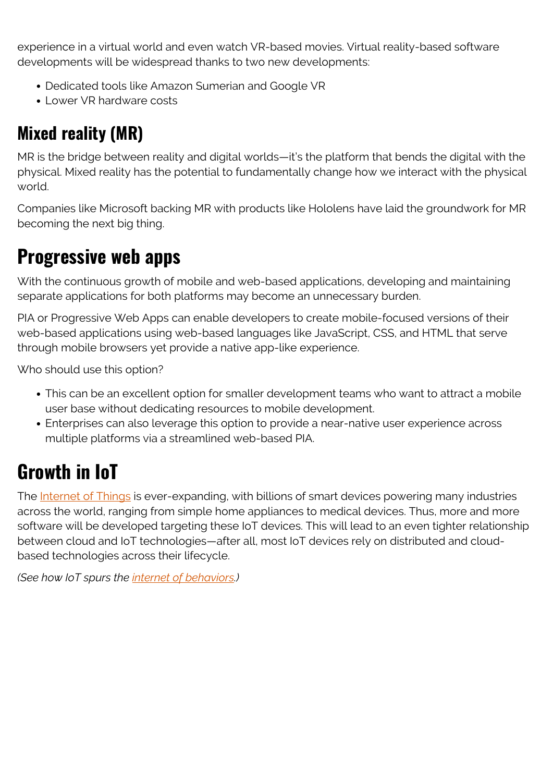experience in a virtual world and even watch VR-based movies. Virtual reality-based software developments will be widespread thanks to two new developments:

- Dedicated tools like Amazon Sumerian and Google VR
- Lower VR hardware costs

### **Mixed reality (MR)**

MR is the bridge between reality and digital worlds—it's the platform that bends the digital with the physical. Mixed reality has the potential to fundamentally change how we interact with the physical world.

Companies like Microsoft backing MR with products like Hololens have laid the groundwork for MR becoming the next big thing.

# **Progressive web apps**

With the continuous growth of mobile and web-based applications, developing and maintaining separate applications for both platforms may become an unnecessary burden.

PIA or Progressive Web Apps can enable developers to create mobile-focused versions of their web-based applications using web-based languages like JavaScript, CSS, and HTML that serve through mobile browsers yet provide a native app-like experience.

Who should use this option?

- This can be an excellent option for smaller development teams who want to attract a mobile user base without dedicating resources to mobile development.
- Enterprises can also leverage this option to provide a near-native user experience across multiple platforms via a streamlined web-based PIA.

# **Growth in IoT**

The [Internet of Things](https://blogs.bmc.com/blogs/iot-internet-of-things/) is ever-expanding, with billions of smart devices powering many industries across the world, ranging from simple home appliances to medical devices. Thus, more and more software will be developed targeting these IoT devices. This will lead to an even tighter relationship between cloud and IoT technologies—after all, most IoT devices rely on distributed and cloudbased technologies across their lifecycle.

*(See how IoT spurs the [internet of behaviors](https://blogs.bmc.com/blogs/iob-internet-of-behavior/).)*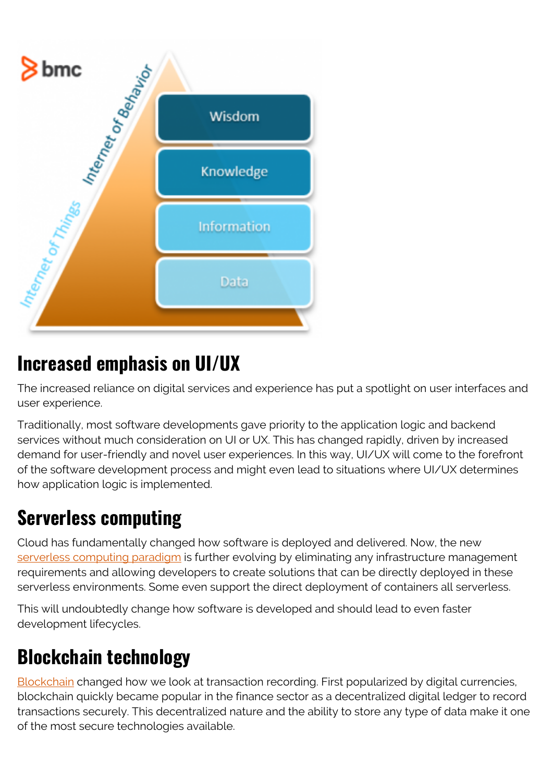

# **Increased emphasis on UI/UX**

The increased reliance on digital services and experience has put a spotlight on user interfaces and user experience.

Traditionally, most software developments gave priority to the application logic and backend services without much consideration on UI or UX. This has changed rapidly, driven by increased demand for user-friendly and novel user experiences. In this way, UI/UX will come to the forefront of the software development process and might even lead to situations where UI/UX determines how application logic is implemented.

### **Serverless computing**

Cloud has fundamentally changed how software is deployed and delivered. Now, the new [serverless computing paradigm](https://blogs.bmc.com/blogs/serverless-computing/) is further evolving by eliminating any infrastructure management requirements and allowing developers to create solutions that can be directly deployed in these serverless environments. Some even support the direct deployment of containers all serverless.

This will undoubtedly change how software is developed and should lead to even faster development lifecycles.

# **Blockchain technology**

[Blockchain](https://blogs.bmc.com/blogs/enterprise-blockchain/) changed how we look at transaction recording. First popularized by digital currencies, blockchain quickly became popular in the finance sector as a decentralized digital ledger to record transactions securely. This decentralized nature and the ability to store any type of data make it one of the most secure technologies available.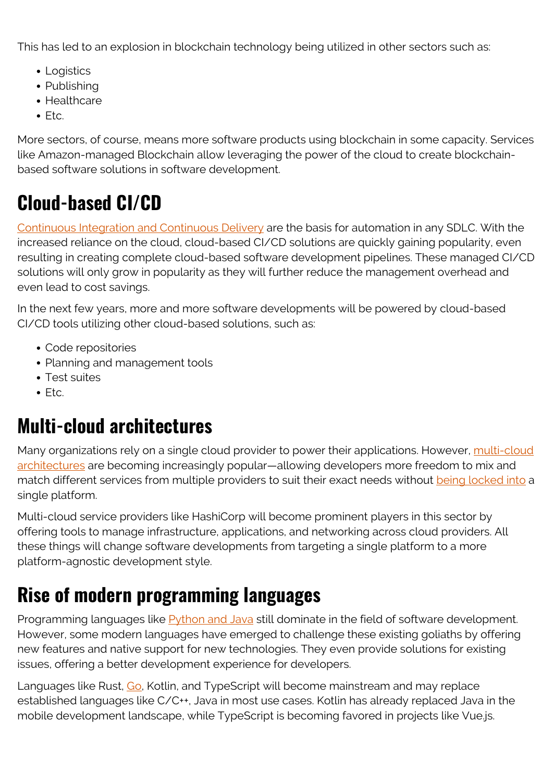This has led to an explosion in blockchain technology being utilized in other sectors such as:

- Logistics
- Publishing
- Healthcare
- $E_{\text{t}}$

More sectors, of course, means more software products using blockchain in some capacity. Services like Amazon-managed Blockchain allow leveraging the power of the cloud to create blockchainbased software solutions in software development.

# **Cloud-based CI/CD**

[Continuous Integration and Continuous Delivery](https://blogs.bmc.com/blogs/what-is-ci-cd/) are the basis for automation in any SDLC. With the increased reliance on the cloud, cloud-based CI/CD solutions are quickly gaining popularity, even resulting in creating complete cloud-based software development pipelines. These managed CI/CD solutions will only grow in popularity as they will further reduce the management overhead and even lead to cost savings.

In the next few years, more and more software developments will be powered by cloud-based CI/CD tools utilizing other cloud-based solutions, such as:

- Code repositories
- Planning and management tools
- Test suites
- $\bullet$  Ftc.

### **Multi-cloud architectures**

Many organizations rely on a single cloud provider to power their applications. However, [multi-cloud](https://blogs.bmc.com/blogs/multi-cloud-strategy/) [architectures](https://blogs.bmc.com/blogs/multi-cloud-strategy/) are becoming increasingly popular—allowing developers more freedom to mix and match different services from multiple providers to suit their exact needs without [being locked into](https://blogs.bmc.com/blogs/vendor-lock-in/) a single platform.

Multi-cloud service providers like HashiCorp will become prominent players in this sector by offering tools to manage infrastructure, applications, and networking across cloud providers. All these things will change software developments from targeting a single platform to a more platform-agnostic development style.

# **Rise of modern programming languages**

Programming languages like [Python and Java](https://blogs.bmc.com/blogs/python-vs-java/) still dominate in the field of software development. However, some modern languages have emerged to challenge these existing goliaths by offering new features and native support for new technologies. They even provide solutions for existing issues, offering a better development experience for developers.

Languages like Rust, [Go](https://blogs.bmc.com/blogs/go-vs-java/), Kotlin, and TypeScript will become mainstream and may replace established languages like C/C++, Java in most use cases. Kotlin has already replaced Java in the mobile development landscape, while TypeScript is becoming favored in projects like Vue.js.